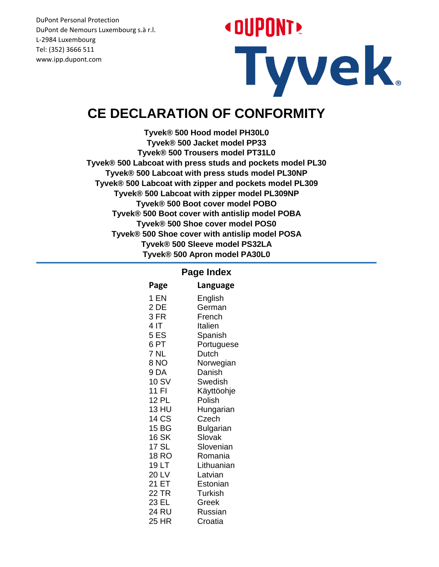# **« DUPONT »** Tyvek.

#### **CE DECLARATION OF CONFORMITY**

**Tyvek® 500 Hood model PH30L0 Tyvek® 500 Jacket model PP33 Tyvek® 500 Trousers model PT31L0 Tyvek® 500 Labcoat with press studs and pockets model PL30 Tyvek® 500 Labcoat with press studs model PL30NP Tyvek® 500 Labcoat with zipper and pockets model PL309 Tyvek® 500 Labcoat with zipper model PL309NP Tyvek® 500 Boot cover model POBO Tyvek® 500 Boot cover with antislip model POBA Tyvek® 500 Shoe cover model POS0 Tyvek® 500 Shoe cover with antislip model POSA Tyvek® 500 Sleeve model PS32LA Tyvek® 500 Apron model PA30L0**

#### **Page Index**

| Page         | Language       |
|--------------|----------------|
| 1 EN         | English        |
| 2 DE         | German         |
| 3 FR         | French         |
| 4 IT         | Italien        |
| 5 ES         | Spanish        |
| 6 PT         | Portuguese     |
| 7 NL         | Dutch          |
| 8 NO         | Norwegian      |
| 9DA          | Danish         |
| 10 SV        | Swedish        |
| 11 FI        | Käyttöohje     |
| 12 PL        | Polish         |
| 13 HU        | Hungarian      |
| 14 CS        | Czech          |
| 15 BG        | Bulgarian      |
| <b>16 SK</b> | Slovak         |
| 17 SL        | Slovenian      |
| <b>18 RO</b> | Romania        |
| 19 LT        | Lithuanian     |
| 20 LV        | Latvian        |
| 21 ET        | Estonian       |
| 22 TR        | <b>Turkish</b> |
| 23 EL        | Greek          |
| 24 RU        | Russian        |
| 25 HR        | Croatia        |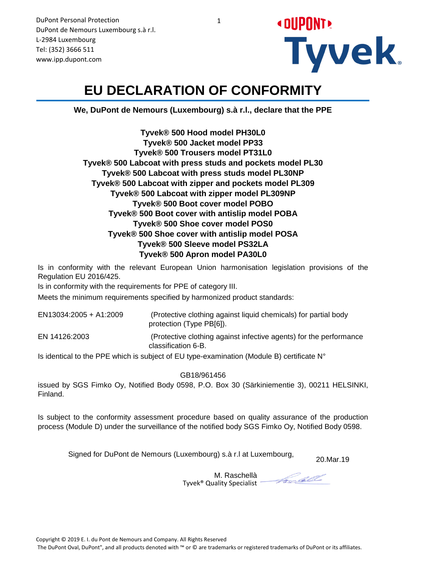

#### **EU DECLARATION OF CONFORMITY**

**We, DuPont de Nemours (Luxembourg) s.à r.l., declare that the PPE**

**Tyvek® 500 Hood model PH30L0 Tyvek® 500 Jacket model PP33 Tyvek® 500 Trousers model PT31L0 Tyvek® 500 Labcoat with press studs and pockets model PL30 Tyvek® 500 Labcoat with press studs model PL30NP Tyvek® 500 Labcoat with zipper and pockets model PL309 Tyvek® 500 Labcoat with zipper model PL309NP Tyvek® 500 Boot cover model POBO Tyvek® 500 Boot cover with antislip model POBA Tyvek® 500 Shoe cover model POS0 Tyvek® 500 Shoe cover with antislip model POSA Tyvek® 500 Sleeve model PS32LA Tyvek® 500 Apron model PA30L0**

Is in conformity with the relevant European Union harmonisation legislation provisions of the Regulation EU 2016/425.

Is in conformity with the requirements for PPE of category III.

Meets the minimum requirements specified by harmonized product standards:

 (Protective clothing against liquid chemicals) for partial body protection (Type PB[6]). EN13034:2005 + A1:2009 EN 14126:2003 (Protective clothing against infective agents) for the performance classification 6-B.

Is identical to the PPE which is subject of EU type-examination (Module B) certificate  $N^{\circ}$ 

GB18/961456

issued by SGS Fimko Oy, Notified Body 0598, P.O. Box 30 (Särkiniementie 3), 00211 HELSINKI, Finland.

Is subject to the conformity assessment procedure based on quality assurance of the production process (Module D) under the surveillance of the notified body SGS Fimko Oy, Notified Body 0598.

20.Mar.19 Signed for DuPont de Nemours (Luxembourg) s.à r.l at Luxembourg,

M. Raschellà Tyvek® Quality Specialist

Forcell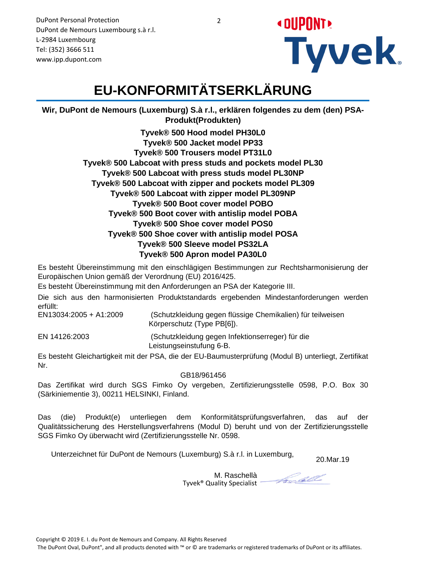DuPont Personal Protection

**« DUPONT! Tyvek** 

#### DuPont de Nemours Luxembourg s.à r.l. L-2984 Luxembourg Tel: (352) 3666 511 www.ipp.dupont.com

# **EU-KONFORMITÄTSERKLÄRUNG**

**Wir, DuPont de Nemours (Luxemburg) S.à r.l., erklären folgendes zu dem (den) PSA-Produkt(Produkten)**

> **Tyvek® 500 Hood model PH30L0 Tyvek® 500 Jacket model PP33 Tyvek® 500 Trousers model PT31L0 Tyvek® 500 Labcoat with press studs and pockets model PL30 Tyvek® 500 Labcoat with press studs model PL30NP Tyvek® 500 Labcoat with zipper and pockets model PL309 Tyvek® 500 Labcoat with zipper model PL309NP Tyvek® 500 Boot cover model POBO Tyvek® 500 Boot cover with antislip model POBA Tyvek® 500 Shoe cover model POS0 Tyvek® 500 Shoe cover with antislip model POSA Tyvek® 500 Sleeve model PS32LA Tyvek® 500 Apron model PA30L0**

Es besteht Übereinstimmung mit den einschlägigen Bestimmungen zur Rechtsharmonisierung der Europäischen Union gemäß der Verordnung (EU) 2016/425.

Es besteht Übereinstimmung mit den Anforderungen an PSA der Kategorie III.

Die sich aus den harmonisierten Produktstandards ergebenden Mindestanforderungen werden erfüllt:

EN13034:2005 + A1:2009 (Schutzkleidung gegen flüssige Chemikalien) für teilweisen Körperschutz (Type PB[6]).

EN 14126:2003 (Schutzkleidung gegen Infektionserreger) für die Leistungseinstufung 6-B.

Es besteht Gleichartigkeit mit der PSA, die der EU-Baumusterprüfung (Modul B) unterliegt, Zertifikat Nr.

GB18/961456

Das Zertifikat wird durch SGS Fimko Oy vergeben, Zertifizierungsstelle 0598, P.O. Box 30 (Särkiniementie 3), 00211 HELSINKI, Finland.

Das (die) Produkt(e) unterliegen dem Konformitätsprüfungsverfahren, das auf der Qualitätssicherung des Herstellungsverfahrens (Modul D) beruht und von der Zertifizierungsstelle SGS Fimko Oy überwacht wird (Zertifizierungsstelle Nr. 0598.

Unterzeichnet für DuPont de Nemours (Luxemburg) S.à r.l. in Luxemburg, 20.Mar.19

M. Raschellà Tyvek® Quality Specialist

Forcell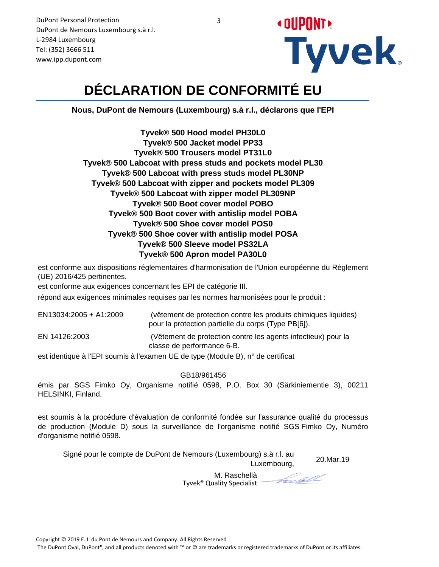

# **DÉCLARATION DE CONFORMITÉ EU**

**Nous, DuPont de Nemours (Luxembourg) s.à r.l., déclarons que l'EPI**

**Tyvek® 500 Hood model PH30L0 Tyvek® 500 Jacket model PP33 Tyvek® 500 Trousers model PT31L0 Tyvek® 500 Labcoat with press studs and pockets model PL30 Tyvek® 500 Labcoat with press studs model PL30NP Tyvek® 500 Labcoat with zipper and pockets model PL309 Tyvek® 500 Labcoat with zipper model PL309NP Tyvek® 500 Boot cover model POBO Tyvek® 500 Boot cover with antislip model POBA Tyvek® 500 Shoe cover model POS0 Tyvek® 500 Shoe cover with antislip model POSA Tyvek® 500 Sleeve model PS32LA Tyvek® 500 Apron model PA30L0**

est conforme aux dispositions réglementaires d'harmonisation de l'Union européenne du Règlement (UE) 2016/425 pertinentes.

est conforme aux exigences concernant les EPI de catégorie III.

répond aux exigences minimales requises par les normes harmonisées pour le produit :

| EN13034:2005 + A1:2009 | (vêtement de protection contre les produits chimiques liquides)<br>pour la protection partielle du corps (Type PB[6]). |
|------------------------|------------------------------------------------------------------------------------------------------------------------|
| EN 14126:2003          | (Vêtement de protection contre les agents infectieux) pour la<br>classe de performance 6-B.                            |
|                        |                                                                                                                        |

est identique à l'EPI soumis à l'examen UE de type (Module B), n° de certificat

GB18/961456

émis par SGS Fimko Oy, Organisme notifié 0598, P.O. Box 30 (Särkiniementie 3), 00211 HELSINKI, Finland.

est soumis à la procédure d'évaluation de conformité fondée sur l'assurance qualité du processus de production (Module D) sous la surveillance de l'organisme notifié SGS Fimko Oy, Numéro d'organisme notifié 0598.

20.Mar.19 Signé pour le compte de DuPont de Nemours (Luxembourg) s.à r.l. au

M. Raschellà Tyvek® Quality Specialist

Focall

Luxembourg,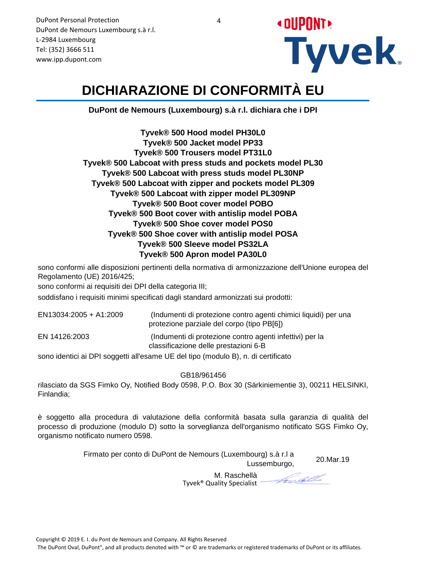

# **DICHIARAZIONE DI CONFORMITÀ EU**

**DuPont de Nemours (Luxembourg) s.à r.l. dichiara che i DPI**

**Tyvek® 500 Hood model PH30L0 Tyvek® 500 Jacket model PP33 Tyvek® 500 Trousers model PT31L0 Tyvek® 500 Labcoat with press studs and pockets model PL30 Tyvek® 500 Labcoat with press studs model PL30NP Tyvek® 500 Labcoat with zipper and pockets model PL309 Tyvek® 500 Labcoat with zipper model PL309NP Tyvek® 500 Boot cover model POBO Tyvek® 500 Boot cover with antislip model POBA Tyvek® 500 Shoe cover model POS0 Tyvek® 500 Shoe cover with antislip model POSA Tyvek® 500 Sleeve model PS32LA Tyvek® 500 Apron model PA30L0**

sono conformi alle disposizioni pertinenti della normativa di armonizzazione dell'Unione europea del Regolamento (UE) 2016/425;

sono conformi ai requisiti dei DPI della categoria III;

soddisfano i requisiti minimi specificati dagli standard armonizzati sui prodotti:

| EN13034:2005 + A1:2009 | (Indumenti di protezione contro agenti chimici liquidi) per una<br>protezione parziale del corpo (tipo PB[6]) |
|------------------------|---------------------------------------------------------------------------------------------------------------|
| EN 14126:2003          | (Indumenti di protezione contro agenti infettivi) per la<br>classificazione delle prestazioni 6-B             |
|                        |                                                                                                               |

sono identici ai DPI soggetti all'esame UE del tipo (modulo B), n. di certificato

GB18/961456

rilasciato da SGS Fimko Oy, Notified Body 0598, P.O. Box 30 (Särkiniementie 3), 00211 HELSINKI, Finlandia;

è soggetto alla procedura di valutazione della conformità basata sulla garanzia di qualità del processo di produzione (modulo D) sotto la sorveglianza dell'organismo notificato SGS Fimko Oy, organismo notificato numero 0598.

> 20.Mar.19 Firmato per conto di DuPont de Nemours (Luxembourg) s.à r.l a Lussemburgo,

> > M. Raschellà

Frodell

Tyvek® Quality Specialist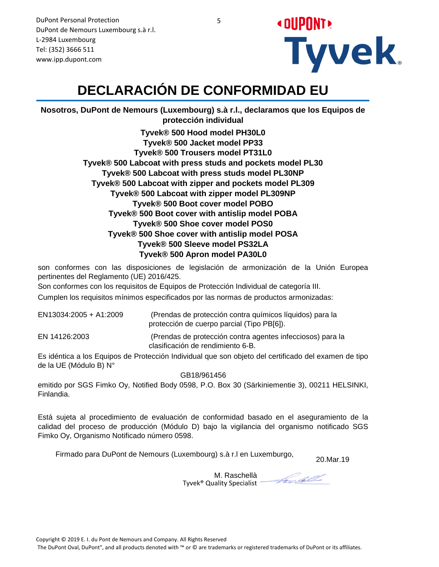

# **DECLARACIÓN DE CONFORMIDAD EU**

**Nosotros, DuPont de Nemours (Luxembourg) s.à r.l., declaramos que los Equipos de protección individual**

> **Tyvek® 500 Hood model PH30L0 Tyvek® 500 Jacket model PP33 Tyvek® 500 Trousers model PT31L0 Tyvek® 500 Labcoat with press studs and pockets model PL30 Tyvek® 500 Labcoat with press studs model PL30NP Tyvek® 500 Labcoat with zipper and pockets model PL309 Tyvek® 500 Labcoat with zipper model PL309NP Tyvek® 500 Boot cover model POBO Tyvek® 500 Boot cover with antislip model POBA Tyvek® 500 Shoe cover model POS0 Tyvek® 500 Shoe cover with antislip model POSA Tyvek® 500 Sleeve model PS32LA Tyvek® 500 Apron model PA30L0**

son conformes con las disposiciones de legislación de armonización de la Unión Europea pertinentes del Reglamento (UE) 2016/425.

Son conformes con los requisitos de Equipos de Protección Individual de categoría III.

Cumplen los requisitos mínimos especificados por las normas de productos armonizadas:

| EN13034:2005 + A1:2009 | (Prendas de protección contra químicos líquidos) para la<br>protección de cuerpo parcial (Tipo PB[6]). |
|------------------------|--------------------------------------------------------------------------------------------------------|
| EN 14126:2003          | (Prendas de protección contra agentes infecciosos) para la<br>clasificación de rendimiento 6-B.        |

Es idéntica a los Equipos de Protección Individual que son objeto del certificado del examen de tipo de la UE (Módulo B) N°

GB18/961456

emitido por SGS Fimko Oy, Notified Body 0598, P.O. Box 30 (Särkiniementie 3), 00211 HELSINKI, Finlandia.

Está sujeta al procedimiento de evaluación de conformidad basado en el aseguramiento de la calidad del proceso de producción (Módulo D) bajo la vigilancia del organismo notificado SGS Fimko Oy, Organismo Notificado número 0598.

Firmado para DuPont de Nemours (Luxembourg) s.à r.l en Luxemburgo,

20.Mar.19

M. Raschellà Tyvek® Quality Specialist

Frodell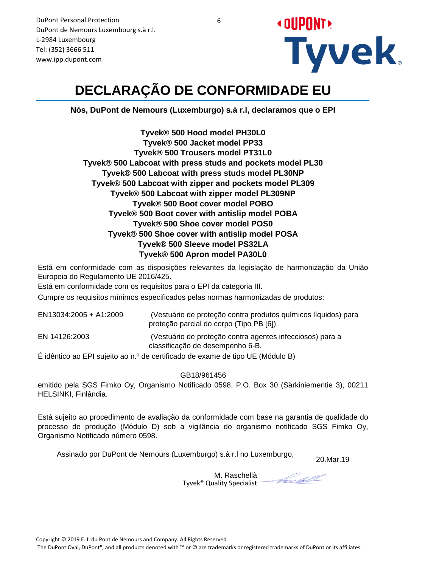

# **DECLARAÇÃO DE CONFORMIDADE EU**

**Nós, DuPont de Nemours (Luxemburgo) s.à r.l, declaramos que o EPI**

**Tyvek® 500 Hood model PH30L0 Tyvek® 500 Jacket model PP33 Tyvek® 500 Trousers model PT31L0 Tyvek® 500 Labcoat with press studs and pockets model PL30 Tyvek® 500 Labcoat with press studs model PL30NP Tyvek® 500 Labcoat with zipper and pockets model PL309 Tyvek® 500 Labcoat with zipper model PL309NP Tyvek® 500 Boot cover model POBO Tyvek® 500 Boot cover with antislip model POBA Tyvek® 500 Shoe cover model POS0 Tyvek® 500 Shoe cover with antislip model POSA Tyvek® 500 Sleeve model PS32LA Tyvek® 500 Apron model PA30L0**

Está em conformidade com as disposições relevantes da legislação de harmonização da União Europeia do Regulamento UE 2016/425.

Está em conformidade com os requisitos para o EPI da categoria III.

Cumpre os requisitos mínimos especificados pelas normas harmonizadas de produtos:

| EN13034:2005 + A1:2009 | (Vestuário de proteção contra produtos químicos líquidos) para<br>proteção parcial do corpo (Tipo PB [6]). |
|------------------------|------------------------------------------------------------------------------------------------------------|
| EN 14126:2003          | (Vestuário de proteção contra agentes infecciosos) para a<br>classificação de desempenho 6-B.              |
| <u>Aarra</u>           |                                                                                                            |

É idêntico ao EPI sujeito ao n.º de certificado de exame de tipo UE (Módulo B)

GB18/961456

emitido pela SGS Fimko Oy, Organismo Notificado 0598, P.O. Box 30 (Särkiniementie 3), 00211 HELSINKI, Finlândia.

Está sujeito ao procedimento de avaliação da conformidade com base na garantia de qualidade do processo de produção (Módulo D) sob a vigilância do organismo notificado SGS Fimko Oy, Organismo Notificado número 0598.

Assinado por DuPont de Nemours (Luxemburgo) s.à r.l no Luxemburgo,

20.Mar.19

M. Raschellà Tyvek® Quality Specialist

Fredell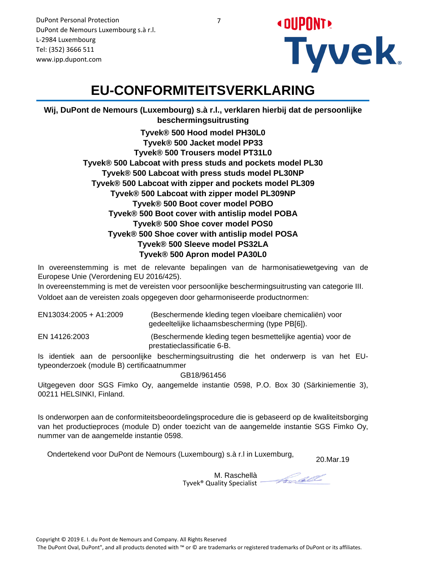**« DUPUNT Tyvek** 

DuPont Personal Protection DuPont de Nemours Luxembourg s.à r.l. L-2984 Luxembourg Tel: (352) 3666 511 www.ipp.dupont.com

#### **EU-CONFORMITEITSVERKLARING**

**Wij, DuPont de Nemours (Luxembourg) s.à r.l., verklaren hierbij dat de persoonlijke beschermingsuitrusting**

> **Tyvek® 500 Hood model PH30L0 Tyvek® 500 Jacket model PP33 Tyvek® 500 Trousers model PT31L0 Tyvek® 500 Labcoat with press studs and pockets model PL30 Tyvek® 500 Labcoat with press studs model PL30NP Tyvek® 500 Labcoat with zipper and pockets model PL309 Tyvek® 500 Labcoat with zipper model PL309NP Tyvek® 500 Boot cover model POBO Tyvek® 500 Boot cover with antislip model POBA Tyvek® 500 Shoe cover model POS0 Tyvek® 500 Shoe cover with antislip model POSA Tyvek® 500 Sleeve model PS32LA Tyvek® 500 Apron model PA30L0**

In overeenstemming is met de relevante bepalingen van de harmonisatiewetgeving van de Europese Unie (Verordening EU 2016/425).

In overeenstemming is met de vereisten voor persoonlijke beschermingsuitrusting van categorie III. Voldoet aan de vereisten zoals opgegeven door geharmoniseerde productnormen:

| EN13034:2005 + A1:2009 | (Beschermende kleding tegen vloeibare chemicaliën) voor<br>gedeeltelijke lichaamsbescherming (type PB[6]). |
|------------------------|------------------------------------------------------------------------------------------------------------|
| EN 14126:2003          | (Beschermende kleding tegen besmettelijke agentia) voor de<br>prestatieclassificatie 6-B.                  |

Is identiek aan de persoonlijke beschermingsuitrusting die het onderwerp is van het EUtypeonderzoek (module B) certificaatnummer

GB18/961456

Uitgegeven door SGS Fimko Oy, aangemelde instantie 0598, P.O. Box 30 (Särkiniementie 3), 00211 HELSINKI, Finland.

Is onderworpen aan de conformiteitsbeoordelingsprocedure die is gebaseerd op de kwaliteitsborging van het productieproces (module D) onder toezicht van de aangemelde instantie SGS Fimko Oy, nummer van de aangemelde instantie 0598.

20.Mar.19 Ondertekend voor DuPont de Nemours (Luxembourg) s.à r.l in Luxemburg,

M. Raschellà Tyvek® Quality Specialist

Frodell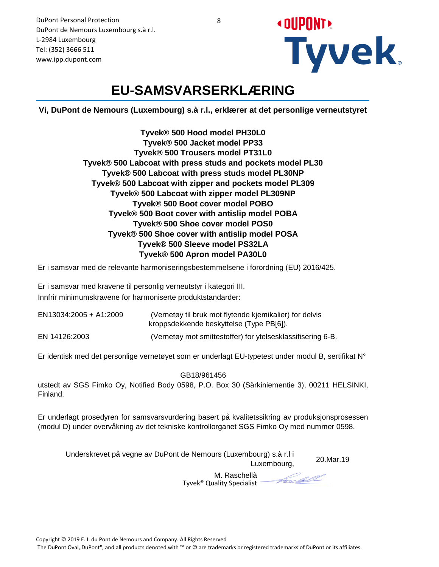**« OUPUNT! Tyvek** 

## **EU-SAMSVARSERKLÆRING**

**Vi, DuPont de Nemours (Luxembourg) s.à r.l., erklærer at det personlige verneutstyret**

**Tyvek® 500 Hood model PH30L0 Tyvek® 500 Jacket model PP33 Tyvek® 500 Trousers model PT31L0 Tyvek® 500 Labcoat with press studs and pockets model PL30 Tyvek® 500 Labcoat with press studs model PL30NP Tyvek® 500 Labcoat with zipper and pockets model PL309 Tyvek® 500 Labcoat with zipper model PL309NP Tyvek® 500 Boot cover model POBO Tyvek® 500 Boot cover with antislip model POBA Tyvek® 500 Shoe cover model POS0 Tyvek® 500 Shoe cover with antislip model POSA Tyvek® 500 Sleeve model PS32LA Tyvek® 500 Apron model PA30L0**

Er i samsvar med de relevante harmoniseringsbestemmelsene i forordning (EU) 2016/425.

Er i samsvar med kravene til personlig verneutstyr i kategori III. Innfrir minimumskravene for harmoniserte produktstandarder:

| EN13034:2005 + A1:2009 | (Vernetøy til bruk mot flytende kjemikalier) for delvis<br>kroppsdekkende beskyttelse (Type PB[6]). |
|------------------------|-----------------------------------------------------------------------------------------------------|
| EN 14126:2003          | (Vernetøy mot smittestoffer) for ytelsesklassifisering 6-B.                                         |

Er identisk med det personlige vernetøyet som er underlagt EU-typetest under modul B, sertifikat N°

GB18/961456

utstedt av SGS Fimko Oy, Notified Body 0598, P.O. Box 30 (Särkiniementie 3), 00211 HELSINKI, Finland.

Er underlagt prosedyren for samsvarsvurdering basert på kvalitetssikring av produksjonsprosessen (modul D) under overvåkning av det tekniske kontrollorganet SGS Fimko Oy med nummer 0598.

Underskrevet på vegne av DuPont de Nemours (Luxembourg) s.à r.l i Luxembourg, 20.Mar.19

> M. Raschellà Tyvek® Quality Specialist

Focall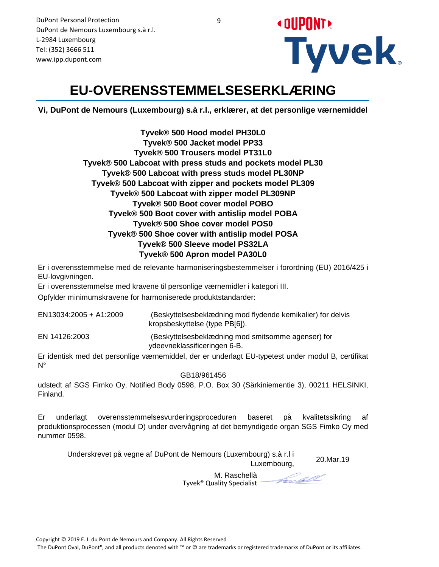

# **EU-OVERENSSTEMMELSESERKLÆRING**

**Vi, DuPont de Nemours (Luxembourg) s.à r.l., erklærer, at det personlige værnemiddel**

**Tyvek® 500 Hood model PH30L0 Tyvek® 500 Jacket model PP33 Tyvek® 500 Trousers model PT31L0 Tyvek® 500 Labcoat with press studs and pockets model PL30 Tyvek® 500 Labcoat with press studs model PL30NP Tyvek® 500 Labcoat with zipper and pockets model PL309 Tyvek® 500 Labcoat with zipper model PL309NP Tyvek® 500 Boot cover model POBO Tyvek® 500 Boot cover with antislip model POBA Tyvek® 500 Shoe cover model POS0 Tyvek® 500 Shoe cover with antislip model POSA Tyvek® 500 Sleeve model PS32LA Tyvek® 500 Apron model PA30L0**

Er i overensstemmelse med de relevante harmoniseringsbestemmelser i forordning (EU) 2016/425 i EU-lovgivningen.

Er i overensstemmelse med kravene til personlige værnemidler i kategori III.

Opfylder minimumskravene for harmoniserede produktstandarder:

| EN13034:2005 + A1:2009 | (Beskyttelsesbeklædning mod flydende kemikalier) for delvis<br>kropsbeskyttelse (type PB[6]). |
|------------------------|-----------------------------------------------------------------------------------------------|
| EN 14126:2003          | (Beskyttelsesbeklædning mod smitsomme agenser) for<br>ydeevneklassificeringen 6-B.            |

Er identisk med det personlige værnemiddel, der er underlagt EU-typetest under modul B, certifikat N°

GB18/961456

udstedt af SGS Fimko Oy, Notified Body 0598, P.O. Box 30 (Särkiniementie 3), 00211 HELSINKI, Finland.

Er underlagt overensstemmelsesvurderingsproceduren baseret på kvalitetssikring af produktionsprocessen (modul D) under overvågning af det bemyndigede organ SGS Fimko Oy med nummer 0598.

Underskrevet på vegne af DuPont de Nemours (Luxembourg) s.à r.l i Luxembourg,

Frodell

20.Mar.19

M. Raschellà Tyvek® Quality Specialist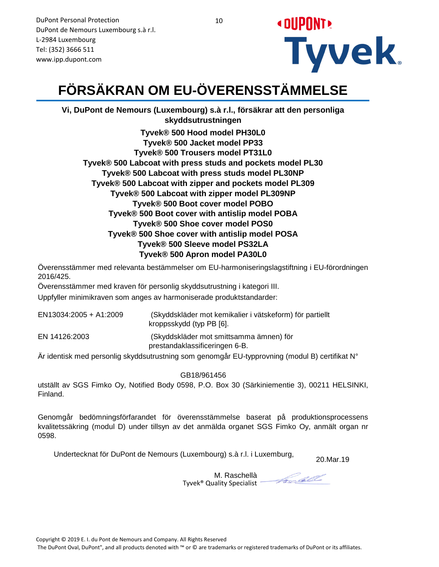

# **FÖRSÄKRAN OM EU-ÖVERENSSTÄMMELSE**

**Vi, DuPont de Nemours (Luxembourg) s.à r.l., försäkrar att den personliga skyddsutrustningen**

**Tyvek® 500 Hood model PH30L0 Tyvek® 500 Jacket model PP33 Tyvek® 500 Trousers model PT31L0 Tyvek® 500 Labcoat with press studs and pockets model PL30 Tyvek® 500 Labcoat with press studs model PL30NP Tyvek® 500 Labcoat with zipper and pockets model PL309 Tyvek® 500 Labcoat with zipper model PL309NP Tyvek® 500 Boot cover model POBO Tyvek® 500 Boot cover with antislip model POBA Tyvek® 500 Shoe cover model POS0 Tyvek® 500 Shoe cover with antislip model POSA Tyvek® 500 Sleeve model PS32LA Tyvek® 500 Apron model PA30L0**

Överensstämmer med relevanta bestämmelser om EU-harmoniseringslagstiftning i EU-förordningen 2016/425.

Överensstämmer med kraven för personlig skyddsutrustning i kategori III.

Uppfyller minimikraven som anges av harmoniserade produktstandarder:

| EN13034:2005 + A1:2009 | (Skyddskläder mot kemikalier i vätskeform) för partiellt<br>kroppsskydd (typ PB [6]. |
|------------------------|--------------------------------------------------------------------------------------|
| EN 14126:2003          | (Skyddskläder mot smittsamma ämnen) för<br>prestandaklassificeringen 6-B.            |

Är identisk med personlig skyddsutrustning som genomgår EU-typprovning (modul B) certifikat N°

GB18/961456

utställt av SGS Fimko Oy, Notified Body 0598, P.O. Box 30 (Särkiniementie 3), 00211 HELSINKI, Finland.

Genomgår bedömningsförfarandet för överensstämmelse baserat på produktionsprocessens kvalitetssäkring (modul D) under tillsyn av det anmälda organet SGS Fimko Oy, anmält organ nr 0598.

Undertecknat för DuPont de Nemours (Luxembourg) s.à r.l. i Luxemburg,

20.Mar.19

Frodell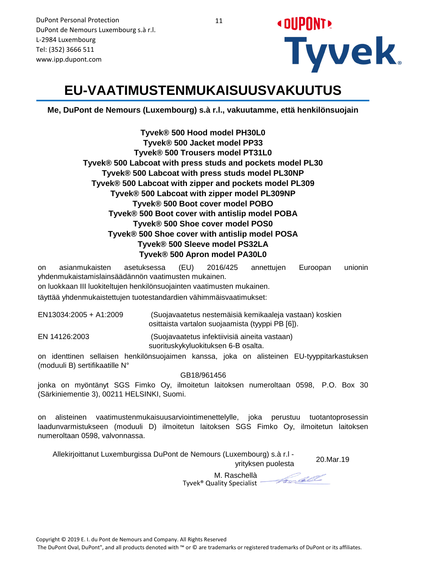

#### **EU-VAATIMUSTENMUKAISUUSVAKUUTUS**

**Me, DuPont de Nemours (Luxembourg) s.à r.l., vakuutamme, että henkilönsuojain**

**Tyvek® 500 Hood model PH30L0 Tyvek® 500 Jacket model PP33 Tyvek® 500 Trousers model PT31L0 Tyvek® 500 Labcoat with press studs and pockets model PL30 Tyvek® 500 Labcoat with press studs model PL30NP Tyvek® 500 Labcoat with zipper and pockets model PL309 Tyvek® 500 Labcoat with zipper model PL309NP Tyvek® 500 Boot cover model POBO Tyvek® 500 Boot cover with antislip model POBA Tyvek® 500 Shoe cover model POS0 Tyvek® 500 Shoe cover with antislip model POSA Tyvek® 500 Sleeve model PS32LA Tyvek® 500 Apron model PA30L0**

on asianmukaisten asetuksessa (EU) 2016/425 annettujen Euroopan unionin yhdenmukaistamislainsäädännön vaatimusten mukainen.

on luokkaan III luokiteltujen henkilönsuojainten vaatimusten mukainen.

täyttää yhdenmukaistettujen tuotestandardien vähimmäisvaatimukset:

 (Suojavaatetus nestemäisiä kemikaaleja vastaan) koskien osittaista vartalon suojaamista (tyyppi PB [6]). EN13034:2005 + A1:2009

EN 14126:2003 (Suojavaatetus infektiivisiä aineita vastaan) suorituskykyluokituksen 6-B osalta.

on identtinen sellaisen henkilönsuojaimen kanssa, joka on alisteinen EU-tyyppitarkastuksen (moduuli B) sertifikaatille N°

GB18/961456

jonka on myöntänyt SGS Fimko Oy, ilmoitetun laitoksen numeroltaan 0598, P.O. Box 30 (Särkiniementie 3), 00211 HELSINKI, Suomi.

on alisteinen vaatimustenmukaisuusarviointimenettelylle, joka perustuu tuotantoprosessin laadunvarmistukseen (moduuli D) ilmoitetun laitoksen SGS Fimko Oy, ilmoitetun laitoksen numeroltaan 0598, valvonnassa.

20.Mar.19 Allekirjoittanut Luxemburgissa DuPont de Nemours (Luxembourg) s.à r.l -

yrityksen puolesta

M. Raschellà Tyvek® Quality Specialist

Frodell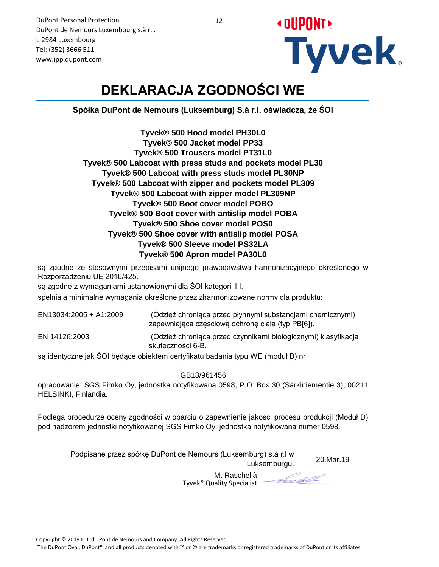**« OUPUNT! Tyvek** 

# **DEKLARACJA ZGODNOŚCI WE**

**Spółka DuPont de Nemours (Luksemburg) S.à r.l. oświadcza, że ŚOI**

**Tyvek® 500 Hood model PH30L0 Tyvek® 500 Jacket model PP33 Tyvek® 500 Trousers model PT31L0 Tyvek® 500 Labcoat with press studs and pockets model PL30 Tyvek® 500 Labcoat with press studs model PL30NP Tyvek® 500 Labcoat with zipper and pockets model PL309 Tyvek® 500 Labcoat with zipper model PL309NP Tyvek® 500 Boot cover model POBO Tyvek® 500 Boot cover with antislip model POBA Tyvek® 500 Shoe cover model POS0 Tyvek® 500 Shoe cover with antislip model POSA Tyvek® 500 Sleeve model PS32LA Tyvek® 500 Apron model PA30L0**

są zgodne ze stosownymi przepisami unijnego prawodawstwa harmonizacyjnego określonego w Rozporządzeniu UE 2016/425.

są zgodne z wymaganiami ustanowionymi dla ŚOI kategorii III.

spełniają minimalne wymagania określone przez zharmonizowane normy dla produktu:

| EN13034:2005 + A1:2009 | (Odzież chroniąca przed płynnymi substancjami chemicznymi)<br>zapewniająca częściową ochronę ciała (typ PB[6]). |
|------------------------|-----------------------------------------------------------------------------------------------------------------|
| EN 14126:2003          | (Odzież chroniąca przed czynnikami biologicznymi) klasyfikacja<br>skuteczności 6-B.                             |

są identyczne jak ŚOI będące obiektem certyfikatu badania typu WE (moduł B) nr

GB18/961456

opracowanie: SGS Fimko Oy, jednostka notyfikowana 0598, P.O. Box 30 (Särkiniementie 3), 00211 HELSINKI, Finlandia.

Podlega procedurze oceny zgodności w oparciu o zapewnienie jakości procesu produkcji (Moduł D) pod nadzorem jednostki notyfikowanej SGS Fimko Oy, jednostka notyfikowana numer 0598.

20.Mar.19 Podpisane przez spółkę DuPont de Nemours (Luksemburg) s.à r.l w Luksemburgu.

Frodell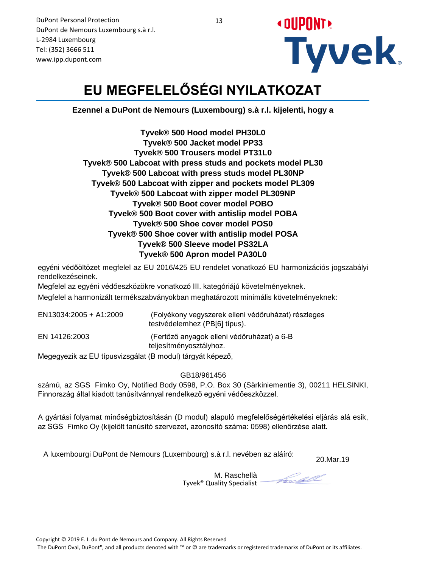

# **EU MEGFELELŐSÉGI NYILATKOZAT**

**Ezennel a DuPont de Nemours (Luxembourg) s.à r.l. kijelenti, hogy a**

**Tyvek® 500 Hood model PH30L0 Tyvek® 500 Jacket model PP33 Tyvek® 500 Trousers model PT31L0 Tyvek® 500 Labcoat with press studs and pockets model PL30 Tyvek® 500 Labcoat with press studs model PL30NP Tyvek® 500 Labcoat with zipper and pockets model PL309 Tyvek® 500 Labcoat with zipper model PL309NP Tyvek® 500 Boot cover model POBO Tyvek® 500 Boot cover with antislip model POBA Tyvek® 500 Shoe cover model POS0 Tyvek® 500 Shoe cover with antislip model POSA Tyvek® 500 Sleeve model PS32LA Tyvek® 500 Apron model PA30L0**

egyéni védőöltözet megfelel az EU 2016/425 EU rendelet vonatkozó EU harmonizációs jogszabályi rendelkezéseinek.

Megfelel az egyéni védőeszközökre vonatkozó III. kategóriájú követelményeknek. Megfelel a harmonizált termékszabványokban meghatározott minimális követelményeknek:

| EN13034:2005 + A1:2009                                    | (Folyékony vegyszerek elleni védőruházat) részleges<br>testvédelemhez (PB[6] típus). |
|-----------------------------------------------------------|--------------------------------------------------------------------------------------|
| EN 14126:2003                                             | (Fertőző anyagok elleni védőruházat) a 6-B<br>teljesítményosztályhoz.                |
| Megegyezik az EU típusvizsgálat (B modul) tárgyát képező, |                                                                                      |

GB18/961456

számú, az SGS Fimko Oy, Notified Body 0598, P.O. Box 30 (Särkiniementie 3), 00211 HELSINKI, Finnország által kiadott tanúsítvánnyal rendelkező egyéni védőeszközzel.

A gyártási folyamat minőségbiztosításán (D modul) alapuló megfelelőségértékelési eljárás alá esik, az SGS Fimko Oy (kijelölt tanúsító szervezet, azonosító száma: 0598) ellenőrzése alatt.

A luxembourgi DuPont de Nemours (Luxembourg) s.à r.l. nevében az aláíró:

20.Mar.19

M. Raschellà Tyvek® Quality Specialist

Forcell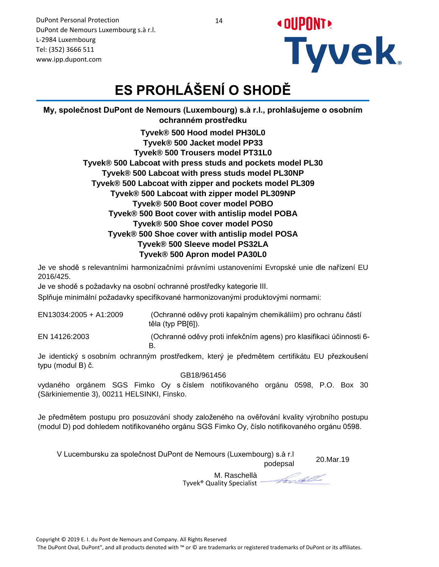**« DUPUNT! Tyvek** 

DuPont Personal Protection DuPont de Nemours Luxembourg s.à r.l. L-2984 Luxembourg Tel: (352) 3666 511 www.ipp.dupont.com

# **ES PROHLÁŠENÍ O SHODĚ**

**My, společnost DuPont de Nemours (Luxembourg) s.à r.l., prohlašujeme o osobním ochranném prostředku**

> **Tyvek® 500 Hood model PH30L0 Tyvek® 500 Jacket model PP33 Tyvek® 500 Trousers model PT31L0 Tyvek® 500 Labcoat with press studs and pockets model PL30 Tyvek® 500 Labcoat with press studs model PL30NP Tyvek® 500 Labcoat with zipper and pockets model PL309 Tyvek® 500 Labcoat with zipper model PL309NP Tyvek® 500 Boot cover model POBO Tyvek® 500 Boot cover with antislip model POBA Tyvek® 500 Shoe cover model POS0 Tyvek® 500 Shoe cover with antislip model POSA Tyvek® 500 Sleeve model PS32LA Tyvek® 500 Apron model PA30L0**

Je ve shodě s relevantními harmonizačními právními ustanoveními Evropské unie dle nařízení EU 2016/425.

Je ve shodě s požadavky na osobní ochranné prostředky kategorie III.

Splňuje minimální požadavky specifikované harmonizovanými produktovými normami:

 (Ochranné oděvy proti kapalným chemikáliím) pro ochranu částí těla (typ PB[6]). EN13034:2005 + A1:2009

EN 14126:2003 (Ochranné oděvy proti infekčním agens) pro klasifikaci účinnosti 6- B.

Je identický s osobním ochranným prostředkem, který je předmětem certifikátu EU přezkoušení typu (modul B) č.

GB18/961456

vydaného orgánem SGS Fimko Oy s číslem notifikovaného orgánu 0598, P.O. Box 30 (Särkiniementie 3), 00211 HELSINKI, Finsko.

Je předmětem postupu pro posuzování shody založeného na ověřování kvality výrobního postupu (modul D) pod dohledem notifikovaného orgánu SGS Fimko Oy, číslo notifikovaného orgánu 0598.

20.Mar.19 V Lucembursku za společnost DuPont de Nemours (Luxembourg) s.à r.l

M. Raschellà Tyvek® Quality Specialist

Frodell

podepsal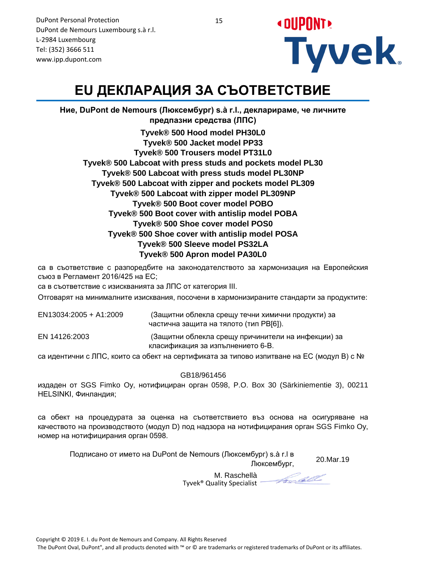

# **EU ДЕКЛАРАЦИЯ ЗА СЪОТВЕТСТВИЕ**

**Ние, DuPont de Nemours (Люксембург) s.à r.l., декларираме, че личните предпазни средства (ЛПС) Tyvek® 500 Hood model PH30L0 Tyvek® 500 Jacket model PP33 Tyvek® 500 Trousers model PT31L0 Tyvek® 500 Labcoat with press studs and pockets model PL30 Tyvek® 500 Labcoat with press studs model PL30NP Tyvek® 500 Labcoat with zipper and pockets model PL309 Tyvek® 500 Labcoat with zipper model PL309NP Tyvek® 500 Boot cover model POBO Tyvek® 500 Boot cover with antislip model POBA Tyvek® 500 Shoe cover model POS0 Tyvek® 500 Shoe cover with antislip model POSA Tyvek® 500 Sleeve model PS32LA Tyvek® 500 Apron model PA30L0**

са в съответствие с разпоредбите на законодателството за хармонизация на Европейския съюз в Регламент 2016/425 на ЕС;

са в съответствие с изискванията за ЛПС от категория III.

Отговарят на минималните изисквания, посочени в хармонизираните стандарти за продуктите:

| EN13034:2005 + A1:2009 | (Защитни облекла срещу течни химични продукти) за<br>частична защита на тялото (тип РВГ61). |
|------------------------|---------------------------------------------------------------------------------------------|
| EN 14126:2003          | (Защитни облекла срещу причинители на инфекции) за<br>класификация за изпълнението 6-В.     |

са идентични с ЛПС, които са обект на сертификата за типово изпитване на ЕС (модул B) c №

GB18/961456

издаден от SGS Fimko Oy, нотифициран орган 0598, P.O. Box 30 (Särkiniementie 3), 00211 HELSINKI, Финландия;

са обект на процедурата за оценка на съответствието въз основа на осигуряване на качеството на производството (модул D) под надзора на нотифицирания орган SGS Fimko Oy, номер на нотифицирания орган 0598.

Подписано от името на DuPont de Nemours (Люксембург) s.à r.l в Люксембург,

20.Mar.19

Frodell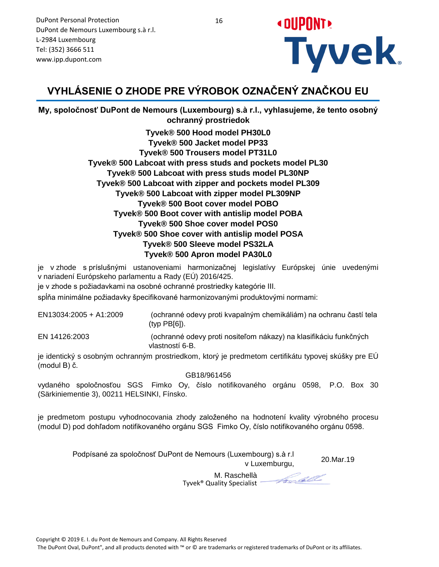

#### **VYHLÁSENIE O ZHODE PRE VÝROBOK OZNAČENÝ ZNAČKOU EU**

**My, spoločnosť DuPont de Nemours (Luxembourg) s.à r.l., vyhlasujeme, že tento osobný ochranný prostriedok**

> **Tyvek® 500 Hood model PH30L0 Tyvek® 500 Jacket model PP33 Tyvek® 500 Trousers model PT31L0 Tyvek® 500 Labcoat with press studs and pockets model PL30 Tyvek® 500 Labcoat with press studs model PL30NP Tyvek® 500 Labcoat with zipper and pockets model PL309 Tyvek® 500 Labcoat with zipper model PL309NP Tyvek® 500 Boot cover model POBO Tyvek® 500 Boot cover with antislip model POBA Tyvek® 500 Shoe cover model POS0 Tyvek® 500 Shoe cover with antislip model POSA Tyvek® 500 Sleeve model PS32LA Tyvek® 500 Apron model PA30L0**

je v zhode s príslušnými ustanoveniami harmonizačnej legislatívy Európskej únie uvedenými v nariadení Európskeho parlamentu a Rady (EÚ) 2016/425.

je v zhode s požiadavkami na osobné ochranné prostriedky kategórie III.

spĺňa minimálne požiadavky špecifikované harmonizovanými produktovými normami:

 (ochranné odevy proti kvapalným chemikáliám) na ochranu častí tela (typ PB[6]). EN13034:2005 + A1:2009

EN 14126:2003 (ochranné odevy proti nositeľom nákazy) na klasifikáciu funkčných vlastností 6-B.

je identický s osobným ochranným prostriedkom, ktorý je predmetom certifikátu typovej skúšky pre EÚ (modul B) č.

GB18/961456

vydaného spoločnosťou SGS Fimko Oy, číslo notifikovaného orgánu 0598, P.O. Box 30 (Särkiniementie 3), 00211 HELSINKI, Fínsko.

je predmetom postupu vyhodnocovania zhody založeného na hodnotení kvality výrobného procesu (modul D) pod dohľadom notifikovaného orgánu SGS Fimko Oy, číslo notifikovaného orgánu 0598.

> Podpísané za spoločnosť DuPont de Nemours (Luxembourg) s.à r.l v Luxemburgu,

20.Mar.19

Focall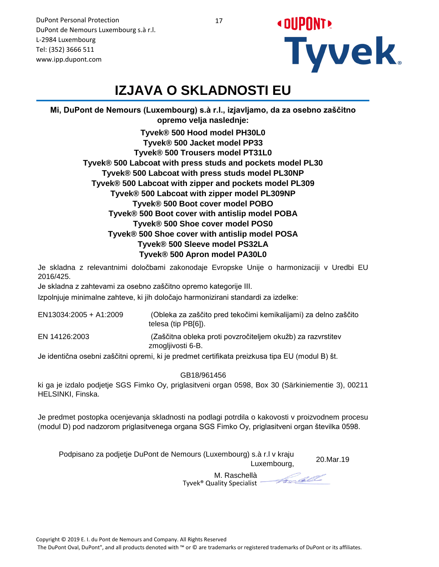17

DuPont Personal Protection DuPont de Nemours Luxembourg s.à r.l. L-2984 Luxembourg Tel: (352) 3666 511 www.ipp.dupont.com



# **IZJAVA O SKLADNOSTI EU**

**Mi, DuPont de Nemours (Luxembourg) s.à r.l., izjavljamo, da za osebno zaščitno opremo velja naslednje:**

> **Tyvek® 500 Hood model PH30L0 Tyvek® 500 Jacket model PP33 Tyvek® 500 Trousers model PT31L0 Tyvek® 500 Labcoat with press studs and pockets model PL30 Tyvek® 500 Labcoat with press studs model PL30NP Tyvek® 500 Labcoat with zipper and pockets model PL309 Tyvek® 500 Labcoat with zipper model PL309NP Tyvek® 500 Boot cover model POBO Tyvek® 500 Boot cover with antislip model POBA Tyvek® 500 Shoe cover model POS0 Tyvek® 500 Shoe cover with antislip model POSA Tyvek® 500 Sleeve model PS32LA Tyvek® 500 Apron model PA30L0**

Je skladna z relevantnimi določbami zakonodaje Evropske Unije o harmonizaciji v Uredbi EU 2016/425.

Je skladna z zahtevami za osebno zaščitno opremo kategorije III.

Izpolnjuje minimalne zahteve, ki jih določajo harmonizirani standardi za izdelke:

| EN13034:2005 + A1:2009 | (Obleka za zaščito pred tekočimi kemikalijami) za delno zaščito<br>telesa (tip PB[6]). |
|------------------------|----------------------------------------------------------------------------------------|
| EN 14126:2003          | (Zaščitna obleka proti povzročiteljem okužb) za razvrstitev<br>zmogljivosti 6-B.       |

Je identična osebni zaščitni opremi, ki je predmet certifikata preizkusa tipa EU (modul B) št.

GB18/961456

ki ga je izdalo podjetje SGS Fimko Oy, priglasitveni organ 0598, Box 30 (Särkiniementie 3), 00211 HELSINKI, Finska.

Je predmet postopka ocenjevanja skladnosti na podlagi potrdila o kakovosti v proizvodnem procesu (modul D) pod nadzorom priglasitvenega organa SGS Fimko Oy, priglasitveni organ številka 0598.

Podpisano za podjetje DuPont de Nemours (Luxembourg) s.à r.l v kraju Luxembourg, 20.Mar.19

Frotell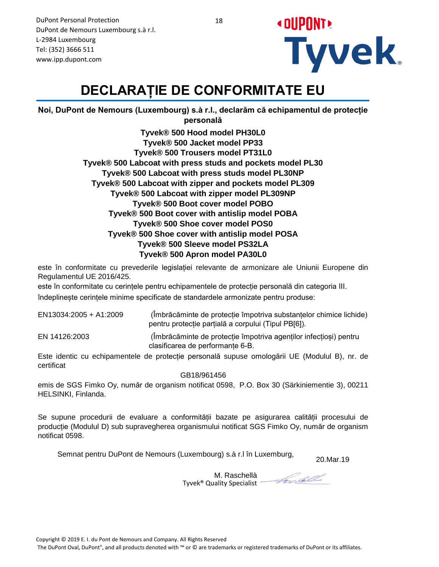

# **DECLARAȚIE DE CONFORMITATE EU**

**Noi, DuPont de Nemours (Luxembourg) s.à r.l., declarăm că echipamentul de protecție personală**

> **Tyvek® 500 Hood model PH30L0 Tyvek® 500 Jacket model PP33 Tyvek® 500 Trousers model PT31L0 Tyvek® 500 Labcoat with press studs and pockets model PL30 Tyvek® 500 Labcoat with press studs model PL30NP Tyvek® 500 Labcoat with zipper and pockets model PL309 Tyvek® 500 Labcoat with zipper model PL309NP Tyvek® 500 Boot cover model POBO Tyvek® 500 Boot cover with antislip model POBA Tyvek® 500 Shoe cover model POS0 Tyvek® 500 Shoe cover with antislip model POSA Tyvek® 500 Sleeve model PS32LA Tyvek® 500 Apron model PA30L0**

este în conformitate cu prevederile legislației relevante de armonizare ale Uniunii Europene din Regulamentul UE 2016/425.

este în conformitate cu cerințele pentru echipamentele de protecție personală din categoria III. îndeplinește cerințele minime specificate de standardele armonizate pentru produse:

| EN13034:2005 + A1:2009 | (Îmbrăcăminte de protecție împotriva substanțelor chimice lichide)<br>pentru protecție parțială a corpului (Tipul PB[6]). |
|------------------------|---------------------------------------------------------------------------------------------------------------------------|
| EN 14126:2003          | (Îmbrăcăminte de protecție împotriva agenților infecțiosi) pentru<br>clasificarea de performante 6-B.                     |

Este identic cu echipamentele de protecție personală supuse omologării UE (Modulul B), nr. de certificat

GB18/961456

emis de SGS Fimko Oy, număr de organism notificat 0598, P.O. Box 30 (Särkiniementie 3), 00211 HELSINKI, Finlanda.

Se supune procedurii de evaluare a conformității bazate pe asigurarea calității procesului de producție (Modulul D) sub supravegherea organismului notificat SGS Fimko Oy, număr de organism notificat 0598.

Semnat pentru DuPont de Nemours (Luxembourg) s.à r.l în Luxemburg,

20.Mar.19

M. Raschellà Tyvek® Quality Specialist

Forcell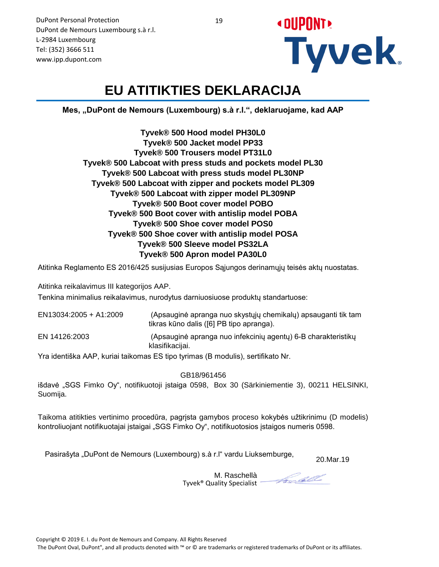

# **EU ATITIKTIES DEKLARACIJA**

**Mes, "DuPont de Nemours (Luxembourg) s.à r.l.", deklaruojame, kad AAP**

**Tyvek® 500 Hood model PH30L0 Tyvek® 500 Jacket model PP33 Tyvek® 500 Trousers model PT31L0 Tyvek® 500 Labcoat with press studs and pockets model PL30 Tyvek® 500 Labcoat with press studs model PL30NP Tyvek® 500 Labcoat with zipper and pockets model PL309 Tyvek® 500 Labcoat with zipper model PL309NP Tyvek® 500 Boot cover model POBO Tyvek® 500 Boot cover with antislip model POBA Tyvek® 500 Shoe cover model POS0 Tyvek® 500 Shoe cover with antislip model POSA Tyvek® 500 Sleeve model PS32LA Tyvek® 500 Apron model PA30L0**

Atitinka Reglamento ES 2016/425 susijusias Europos Sąjungos derinamųjų teisės aktų nuostatas.

Atitinka reikalavimus III kategorijos AAP.

Tenkina minimalius reikalavimus, nurodytus darniuosiuose produktų standartuose:

| EN13034:2005 + A1:2009 | (Apsauginė apranga nuo skystųjų chemikalų) apsauganti tik tam<br>tikras kūno dalis ([6] PB tipo apranga). |
|------------------------|-----------------------------------------------------------------------------------------------------------|
| EN 14126:2003          | (Apsauginė apranga nuo infekcinių agentų) 6-B charakteristikų<br>klasifikacijai.                          |
|                        | \/ 'I ('YI AAF\I 'J'I'I FA(' I ' M\) II'\ (''I'I AI                                                       |

Yra identiška AAP, kuriai taikomas ES tipo tyrimas (B modulis), sertifikato Nr.

GB18/961456

išdavė "SGS Fimko Oy", notifikuotoji įstaiga 0598, Box 30 (Särkiniementie 3), 00211 HELSINKI, Suomija.

Taikoma atitikties vertinimo procedūra, pagrįsta gamybos proceso kokybės užtikrinimu (D modelis) kontroliuojant notifikuotajai įstaigai "SGS Fimko Oy", notifikuotosios įstaigos numeris 0598.

Pasirašyta "DuPont de Nemours (Luxembourg) s.à r.l" vardu Liuksemburge,

20.Mar.19

M. Raschellà Tyvek® Quality Specialist

forcell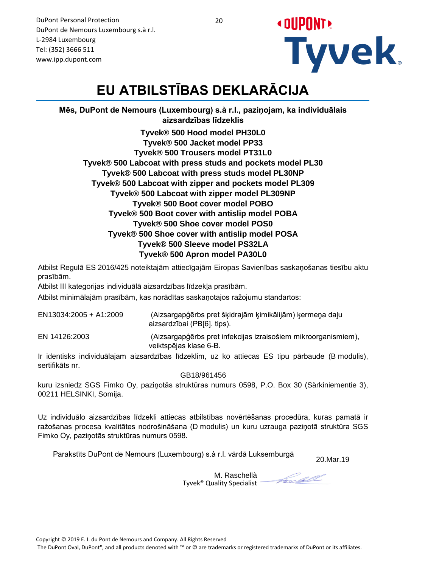

# **EU ATBILSTĪBAS DEKLARĀCIJA**

**Mēs, DuPont de Nemours (Luxembourg) s.à r.l., paziņojam, ka individuālais aizsardzības līdzeklis**

**Tyvek® 500 Hood model PH30L0 Tyvek® 500 Jacket model PP33 Tyvek® 500 Trousers model PT31L0 Tyvek® 500 Labcoat with press studs and pockets model PL30 Tyvek® 500 Labcoat with press studs model PL30NP Tyvek® 500 Labcoat with zipper and pockets model PL309 Tyvek® 500 Labcoat with zipper model PL309NP Tyvek® 500 Boot cover model POBO Tyvek® 500 Boot cover with antislip model POBA Tyvek® 500 Shoe cover model POS0 Tyvek® 500 Shoe cover with antislip model POSA Tyvek® 500 Sleeve model PS32LA Tyvek® 500 Apron model PA30L0**

Atbilst Regulā ES 2016/425 noteiktajām attiecīgajām Eiropas Savienības saskaņošanas tiesību aktu prasībām.

Atbilst III kategorijas individuālā aizsardzības līdzekļa prasībām.

Atbilst minimālajām prasībām, kas norādītas saskaņotajos ražojumu standartos:

| EN13034:2005 + A1:2009 | (Aizsargapģērbs pret šķidrajām ķimikālijām) ķermeņa daļu<br>aizsardzībai (PB[6]. tips).  |
|------------------------|------------------------------------------------------------------------------------------|
| EN 14126:2003          | (Aizsargapģērbs pret infekcijas izraisošiem mikroorganismiem),<br>veiktspējas klase 6-B. |

Ir identisks individuālajam aizsardzības līdzeklim, uz ko attiecas ES tipu pārbaude (B modulis), sertifikāts nr.

GB18/961456

kuru izsniedz SGS Fimko Oy, paziņotās struktūras numurs 0598, P.O. Box 30 (Särkiniementie 3), 00211 HELSINKI, Somija.

Uz individuālo aizsardzības līdzekli attiecas atbilstības novērtēšanas procedūra, kuras pamatā ir ražošanas procesa kvalitātes nodrošināšana (D modulis) un kuru uzrauga paziņotā struktūra SGS Fimko Oy, paziņotās struktūras numurs 0598.

Parakstīts DuPont de Nemours (Luxembourg) s.à r.l. vārdā Luksemburgā <br>20.Mar.19

Forcell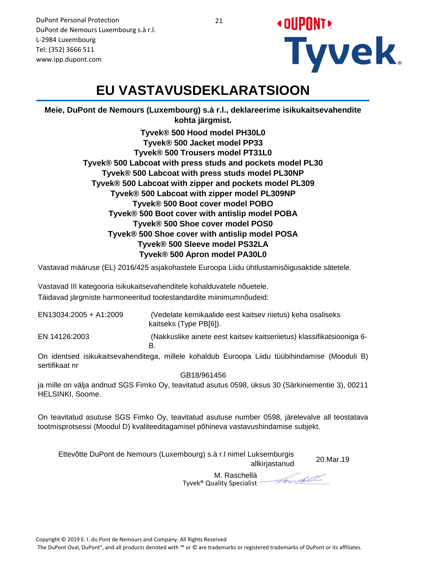

#### **EU VASTAVUSDEKLARATSIOON**

**Meie, DuPont de Nemours (Luxembourg) s.à r.l., deklareerime isikukaitsevahendite kohta järgmist.**

> **Tyvek® 500 Hood model PH30L0 Tyvek® 500 Jacket model PP33 Tyvek® 500 Trousers model PT31L0 Tyvek® 500 Labcoat with press studs and pockets model PL30 Tyvek® 500 Labcoat with press studs model PL30NP Tyvek® 500 Labcoat with zipper and pockets model PL309 Tyvek® 500 Labcoat with zipper model PL309NP Tyvek® 500 Boot cover model POBO Tyvek® 500 Boot cover with antislip model POBA Tyvek® 500 Shoe cover model POS0 Tyvek® 500 Shoe cover with antislip model POSA Tyvek® 500 Sleeve model PS32LA Tyvek® 500 Apron model PA30L0**

Vastavad määruse (EL) 2016/425 asjakohastele Euroopa Liidu ühtlustamisõigusaktide sätetele.

Vastavad III kategooria isikukaitsevahenditele kohalduvatele nõuetele. Täidavad järgmiste harmoneeritud tootestandardite miinimumnõudeid:

 (Vedelate kemikaalide eest kaitsev riietus) keha osaliseks kaitseks (Type PB[6]). EN 14126:2003 (Nakkuslike ainete eest kaitsev kaitseriietus) klassifikatsiooniga 6- EN13034:2005 + A1:2009

B.

On identsed isikukaitsevahenditega, millele kohaldub Euroopa Liidu tüübihindamise (Mooduli B) sertifikaat nr

GB18/961456

ja mille on välja andnud SGS Fimko Oy, teavitatud asutus 0598, üksus 30 (Särkiniementie 3), 00211 HELSINKI, Soome.

On teavitatud asutuse SGS Fimko Oy, teavitatud asutuse number 0598, järelevalve all teostatava tootmisprotsessi (Moodul D) kvaliteeditagamisel põhineva vastavushindamise subjekt.

| Ettevõtte DuPont de Nemours (Luxembourg) s.à r.l nimel Luksemburgis<br>allkirjastanud | 20.Mar.19 |
|---------------------------------------------------------------------------------------|-----------|
|                                                                                       |           |

M. Raschellà Tyvek® Quality Specialist

Forcell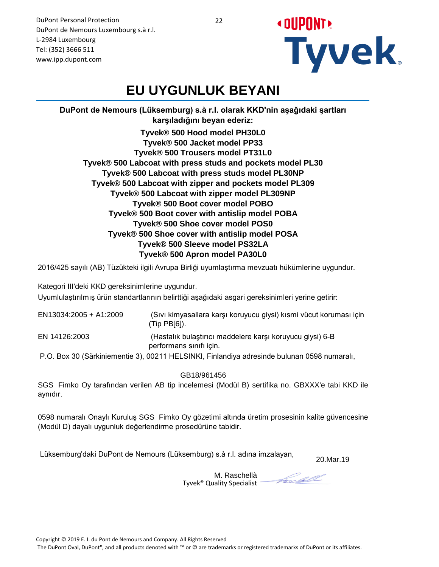

#### **EU UYGUNLUK BEYANI**

**DuPont de Nemours (Lüksemburg) s.à r.l. olarak KKD'nin aşağıdaki şartları karşıladığını beyan ederiz: Tyvek® 500 Hood model PH30L0**

**Tyvek® 500 Jacket model PP33 Tyvek® 500 Trousers model PT31L0 Tyvek® 500 Labcoat with press studs and pockets model PL30 Tyvek® 500 Labcoat with press studs model PL30NP Tyvek® 500 Labcoat with zipper and pockets model PL309 Tyvek® 500 Labcoat with zipper model PL309NP Tyvek® 500 Boot cover model POBO Tyvek® 500 Boot cover with antislip model POBA Tyvek® 500 Shoe cover model POS0 Tyvek® 500 Shoe cover with antislip model POSA Tyvek® 500 Sleeve model PS32LA Tyvek® 500 Apron model PA30L0**

2016/425 sayılı (AB) Tüzükteki ilgili Avrupa Birliği uyumlaştırma mevzuatı hükümlerine uygundur.

Kategori III'deki KKD gereksinimlerine uygundur.

Uyumlulaştırılmış ürün standartlarının belirttiği aşağıdaki asgari gereksinimleri yerine getirir:

| EN13034:2005 + A1:2009 | (Sıvı kimyasallara karşı koruyucu giysi) kısmi vücut koruması için<br>$(Tip PB[6])$ .       |
|------------------------|---------------------------------------------------------------------------------------------|
| EN 14126:2003          | (Hastalık bulaştırıcı maddelere karşı koruyucu giysi) 6-B<br>performans sinifi için.        |
|                        | P.O. Box 30 (Särkiniementie 3), 00211 HELSINKI, Finlandiya adresinde bulunan 0598 numaralı, |

GB18/961456

SGS Fimko Oy tarafından verilen AB tip incelemesi (Modül B) sertifika no. GBXXX'e tabi KKD ile aynıdır.

0598 numaralı Onaylı Kuruluş SGS Fimko Oy gözetimi altında üretim prosesinin kalite güvencesine (Modül D) dayalı uygunluk değerlendirme prosedürüne tabidir.

Lüksemburg'daki DuPont de Nemours (Lüksemburg) s.à r.l. adına imzalayan,

20.Mar.19

M. Raschellà Tyvek® Quality Specialist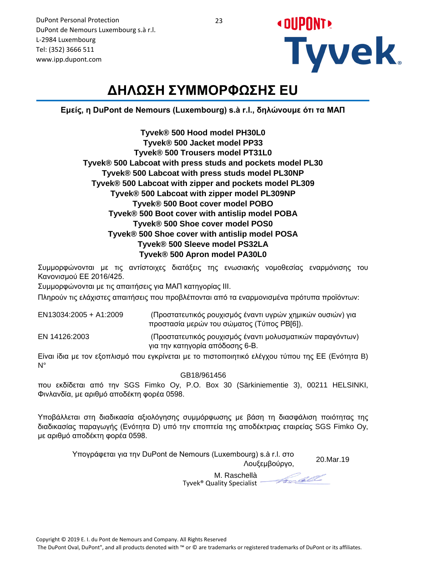

## **ΔΗΛΩΣΗ ΣΥΜΜΟΡΦΩΣΗΣ EU**

**Εμείς, η DuPont de Nemours (Luxembourg) s.à r.l., δηλώνουμε ότι τα ΜΑΠ**

| Tyvek® 500 Hood model PH30L0                               |
|------------------------------------------------------------|
| Tyvek® 500 Jacket model PP33                               |
| Tyvek® 500 Trousers model PT31L0                           |
| Tyvek® 500 Labcoat with press studs and pockets model PL30 |
| Tyvek® 500 Labcoat with press studs model PL30NP           |
| Tyvek® 500 Labcoat with zipper and pockets model PL309     |
| Tyvek® 500 Labcoat with zipper model PL309NP               |
| Tyvek® 500 Boot cover model POBO                           |
| Tyvek® 500 Boot cover with antislip model POBA             |
| Tyvek® 500 Shoe cover model POS0                           |
| Tyvek® 500 Shoe cover with antislip model POSA             |
| Tyvek® 500 Sleeve model PS32LA                             |
| Tyvek® 500 Apron model PA30L0                              |

Συμμορφώνονται με τις αντίστοιχες διατάξεις της ενωσιακής νομοθεσίας εναρμόνισης του Κανονισμού ΕΕ 2016/425.

Συμμορφώνονται με τις απαιτήσεις για ΜΑΠ κατηγορίας III.

Πληρούν τις ελάχιστες απαιτήσεις που προβλέπονται από τα εναρμονισμένα πρότυπα προϊόντων:

| EN13034:2005 + A1:2009 | (Προστατευτικός ρουχισμός έναντι υγρών χημικών ουσιών) για<br>προστασία μερών του σώματος (Τύπος ΡΒ[6]). |
|------------------------|----------------------------------------------------------------------------------------------------------|
| EN 14126:2003          | (Προστατευτικός ρουχισμός έναντι μολυσματικών παραγόντων)                                                |

 (Προστατευτικός ρουχισμός έναντι μολυσματικών παραγόντων) για την κατηγορία απόδοσης 6-B.

Είναι ίδια με τον εξοπλισμό που εγκρίνεται με το πιστοποιητικό ελέγχου τύπου της ΕΕ (Ενότητα B) N°

GB18/961456

που εκδίδεται από την SGS Fimko Oy, P.O. Box 30 (Särkiniementie 3), 00211 HELSINKI, Φινλανδία, με αριθμό αποδέκτη φορέα 0598.

Υποβάλλεται στη διαδικασία αξιολόγησης συμμόρφωσης με βάση τη διασφάλιση ποιότητας της διαδικασίας παραγωγής (Ενότητα D) υπό την εποπτεία της αποδέκτριας εταιρείας SGS Fimko Oy, με αριθμό αποδέκτη φορέα 0598.

> 20.Mar.19 Υπογράφεται για την DuPont de Nemours (Luxembourg) s.à r.l. στο Λουξεμβούργο,

Fredell

M. Raschellà Tyvek® Quality Specialist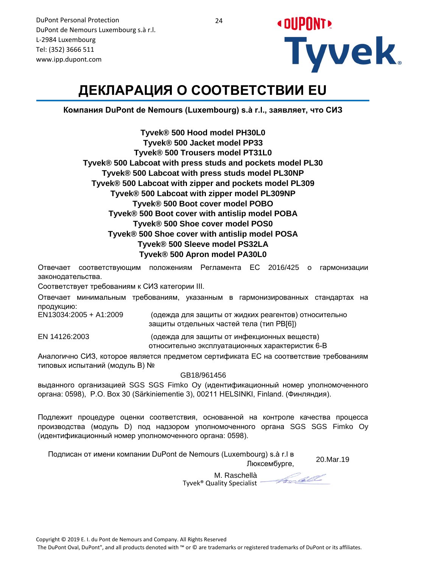

# **ДЕКЛАРАЦИЯ О СООТВЕТСТВИИ EU**

**Компания DuPont de Nemours (Luxembourg) s.à r.l., заявляет, что СИЗ**

**Tyvek® 500 Hood model PH30L0 Tyvek® 500 Jacket model PP33 Tyvek® 500 Trousers model PT31L0 Tyvek® 500 Labcoat with press studs and pockets model PL30 Tyvek® 500 Labcoat with press studs model PL30NP Tyvek® 500 Labcoat with zipper and pockets model PL309 Tyvek® 500 Labcoat with zipper model PL309NP Tyvek® 500 Boot cover model POBO Tyvek® 500 Boot cover with antislip model POBA Tyvek® 500 Shoe cover model POS0 Tyvek® 500 Shoe cover with antislip model POSA Tyvek® 500 Sleeve model PS32LA Tyvek® 500 Apron model PA30L0**

Отвечает соответствующим положениям Регламента ЕС 2016/425 о гармонизации законодательства.

Соответствует требованиям к СИЗ категории III.

Отвечает минимальным требованиям, указанным в гармонизированных стандартах на продукцию:

EN13034:2005 + A1:2009

 (одежда для защиты от жидких реагентов) относительно защиты отдельных частей тела (тип PB[6])

EN 14126:2003 (одежда для защиты от инфекционных веществ) относительно эксплуатационных характеристик 6-B

Аналогично СИЗ, которое является предметом сертификата ЕС на соответствие требованиям типовых испытаний (модуль В) №

GB18/961456

выданного организацией SGS SGS Fimko Oy (идентификационный номер уполномоченного органа: 0598), P.O. Box 30 (Särkiniementie 3), 00211 HELSINKI, Finland. (Финляндия).

Подлежит процедуре оценки соответствия, основанной на контроле качества процесса производства (модуль D) под надзором уполномоченного органа SGS SGS Fimko Oy (идентификационный номер уполномоченного органа: 0598).

Подписан от имени компании DuPont de Nemours (Luxembourg) s.à r.l в

20.Mar.19

M. Raschellà Tyvek® Quality Specialist

Foodell

Люксембурге,